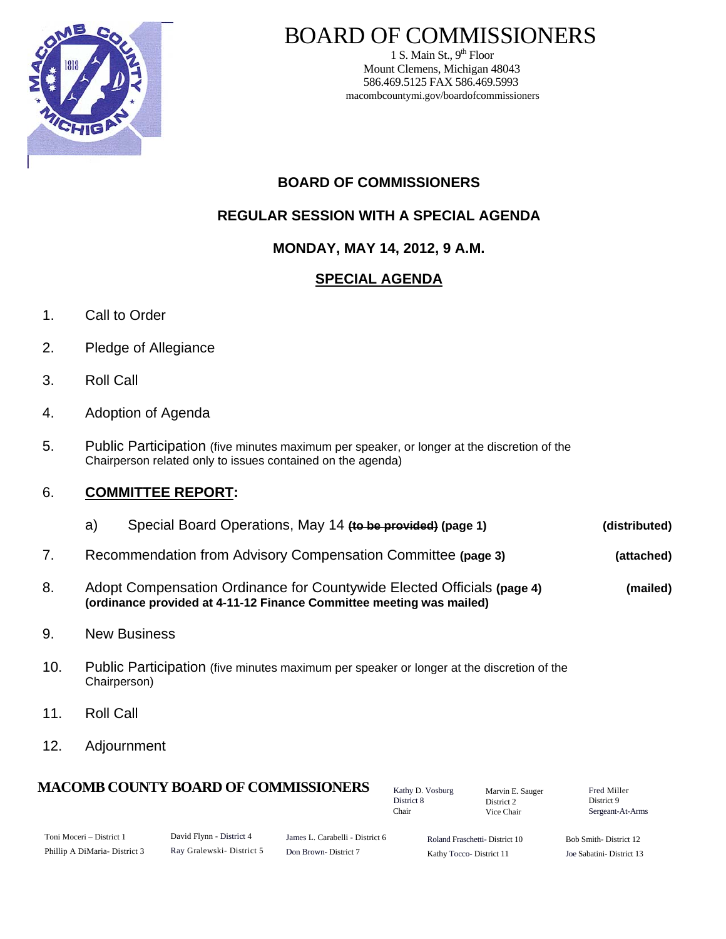

# BOARD OF COMMISSIONERS

1 S. Main St.,  $9<sup>th</sup>$  Floor Mount Clemens, Michigan 48043 586.469.5125 FAX 586.469.5993 macombcountymi.gov/boardofcommissioners

# **BOARD OF COMMISSIONERS**

# **REGULAR SESSION WITH A SPECIAL AGENDA**

### **MONDAY, MAY 14, 2012, 9 A.M.**

# **SPECIAL AGENDA**

- 1. Call to Order
- 2. Pledge of Allegiance
- 3. Roll Call
- 4. Adoption of Agenda
- 5. Public Participation (five minutes maximum per speaker, or longer at the discretion of the Chairperson related only to issues contained on the agenda)

#### 6. **COMMITTEE REPORT:**

| (distributed) | Special Board Operations, May 14 (to be provided) (page 1)<br>a) |  |
|---------------|------------------------------------------------------------------|--|
| (attached)    | Recommendation from Advisory Compensation Committee (page 3)     |  |
|               | $\sim$                                                           |  |

- 8. Adopt Compensation Ordinance for Countywide Elected Officials **(page 4) (mailed) (ordinance provided at 4-11-12 Finance Committee meeting was mailed)**
- 9. New Business
- 10. Public Participation (five minutes maximum per speaker or longer at the discretion of the Chairperson)
- 11. Roll Call
- 12. Adjournment

#### **MACOMB COUNTY BOARD OF COMMISSIONERS** Factor D. Vosburg Marvin F. Sauger Fred Miller

Kathy D. Vosburg District 8 Chair

Marvin E. Sauger District 2 Vice Chair

District 9 Sergeant-At-Arms

| Toni Moceri – District 1     | David Flynn - District 4 | James L. Carabelli - District 6 | Roland Fraschetti-District 10 | Bob Smith-District 12    |
|------------------------------|--------------------------|---------------------------------|-------------------------------|--------------------------|
| Phillip A DiMaria-District 3 | Ray Gralewski-District 5 | Don Brown-District 7            | Kathy Tocco-District 11       | Joe Sabatini-District 13 |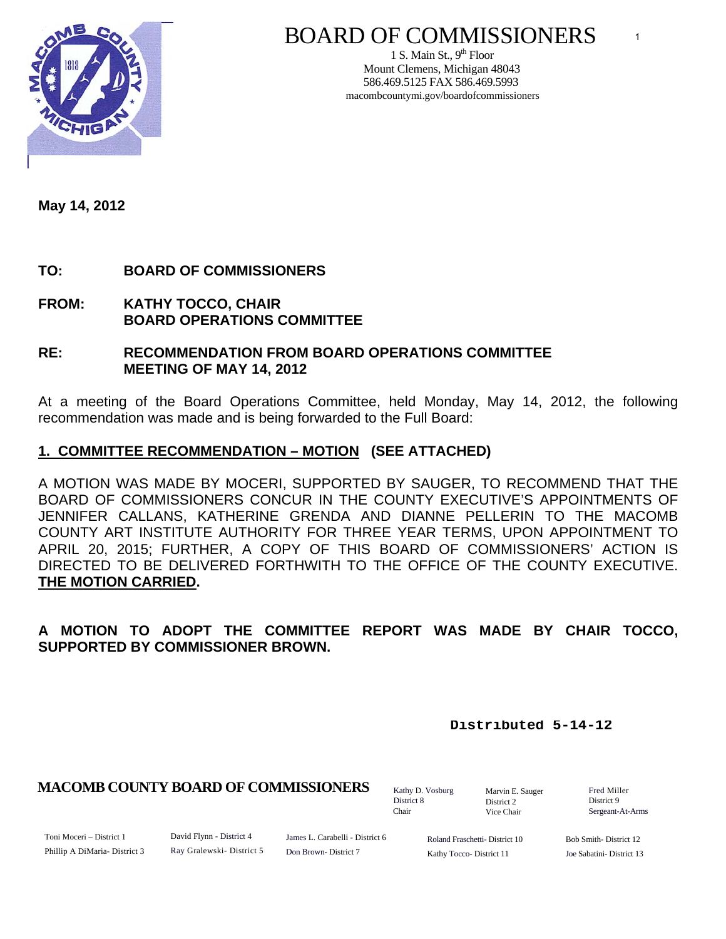

# BOARD OF COMMISSIONERS

1 S. Main St.,  $9<sup>th</sup>$  Floor Mount Clemens, Michigan 48043 586.469.5125 FAX 586.469.5993 macombcountymi.gov/boardofcommissioners

**May 14, 2012** 

# **TO: BOARD OF COMMISSIONERS**

**FROM: KATHY TOCCO, CHAIR BOARD OPERATIONS COMMITTEE** 

#### **RE: RECOMMENDATION FROM BOARD OPERATIONS COMMITTEE MEETING OF MAY 14, 2012**

At a meeting of the Board Operations Committee, held Monday, May 14, 2012, the following recommendation was made and is being forwarded to the Full Board:

### **1. COMMITTEE RECOMMENDATION – MOTION (SEE ATTACHED)**

A MOTION WAS MADE BY MOCERI, SUPPORTED BY SAUGER, TO RECOMMEND THAT THE BOARD OF COMMISSIONERS CONCUR IN THE COUNTY EXECUTIVE'S APPOINTMENTS OF JENNIFER CALLANS, KATHERINE GRENDA AND DIANNE PELLERIN TO THE MACOMB COUNTY ART INSTITUTE AUTHORITY FOR THREE YEAR TERMS, UPON APPOINTMENT TO APRIL 20, 2015; FURTHER, A COPY OF THIS BOARD OF COMMISSIONERS' ACTION IS DIRECTED TO BE DELIVERED FORTHWITH TO THE OFFICE OF THE COUNTY EXECUTIVE. **THE MOTION CARRIED.**

# **A MOTION TO ADOPT THE COMMITTEE REPORT WAS MADE BY CHAIR TOCCO, SUPPORTED BY COMMISSIONER BROWN.**

**Distributed 5-14-12**

#### **MACOMB COUNTY BOARD OF COMMISSIONERS** Fathy D. Vosburg Martin E. Square Fred Miller

Kathy D. Vosburg District 8 Chair

Marvin E. Sauger District 2 Vice Chair

District 9 Sergeant-At-Arms

1

Toni Moceri – District 1 Phillip A DiMaria- District 3 David Flynn - District 4 Ray Gralewski- District 5

James L. Carabelli - District 6 Don Brown- District 7

Roland Fraschetti- District 10 Kathy Tocco- District 11

Bob Smith- District 12 Joe Sabatini- District 13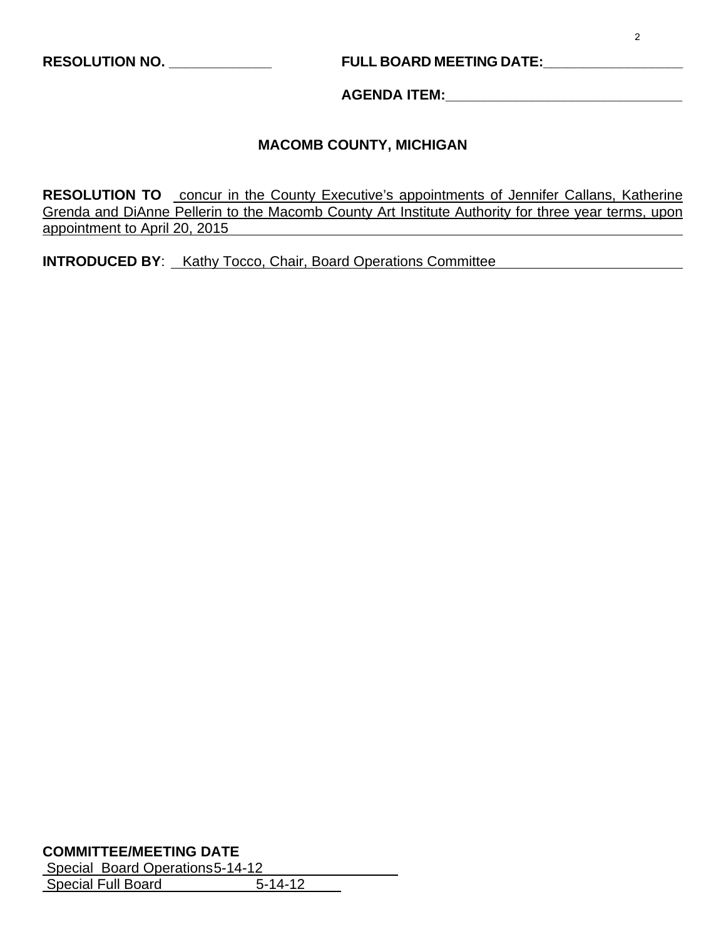# **RESOLUTION NO. \_\_\_\_\_\_\_\_\_\_\_\_\_ FULL BOARD MEETING DATE:\_\_\_\_\_\_\_\_\_\_\_\_\_\_\_\_\_\_**

**AGENDA ITEM:\_\_\_\_\_\_\_\_\_\_\_\_\_\_\_\_\_\_\_\_\_\_\_\_\_\_\_\_\_\_** 

#### **MACOMB COUNTY, MICHIGAN**

**RESOLUTION TO** concur in the County Executive's appointments of Jennifer Callans, Katherine Grenda and DiAnne Pellerin to the Macomb County Art Institute Authority for three year terms, upon appointment to April 20, 2015

**INTRODUCED BY**: Kathy Tocco, Chair, Board Operations Committee

#### **COMMITTEE/MEETING DATE**

| Special Board Operations 5-14-12 |               |
|----------------------------------|---------------|
| <b>Special Full Board</b>        | $5 - 14 - 12$ |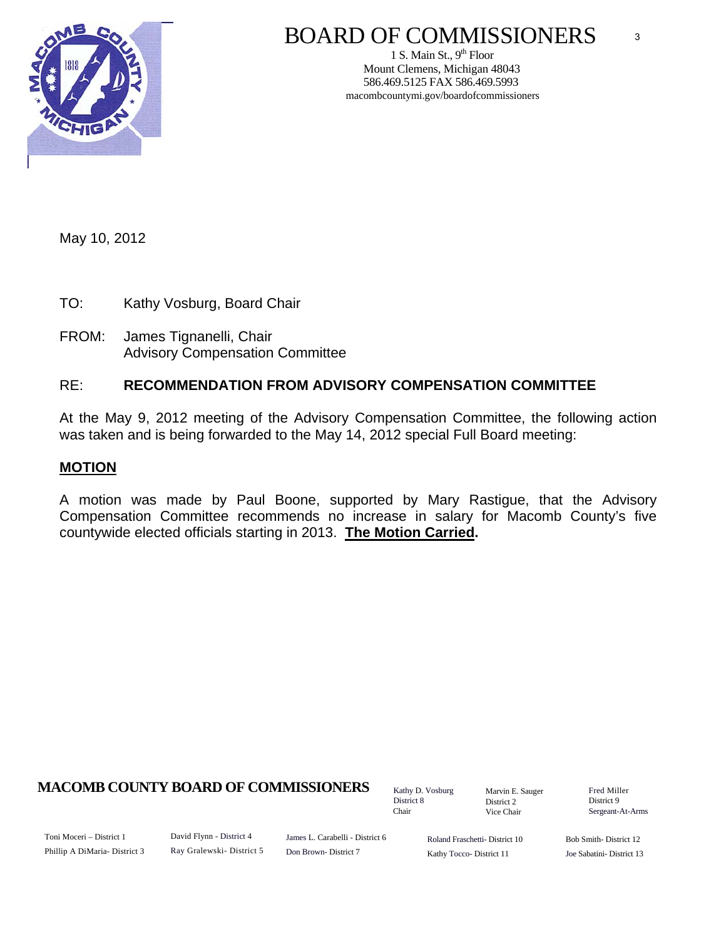

# BOARD OF COMMISSIONERS

1 S. Main St.,  $9<sup>th</sup>$  Floor Mount Clemens, Michigan 48043 586.469.5125 FAX 586.469.5993 macombcountymi.gov/boardofcommissioners

May 10, 2012

TO: Kathy Vosburg, Board Chair

FROM: James Tignanelli, Chair Advisory Compensation Committee

### RE: **RECOMMENDATION FROM ADVISORY COMPENSATION COMMITTEE**

At the May 9, 2012 meeting of the Advisory Compensation Committee, the following action was taken and is being forwarded to the May 14, 2012 special Full Board meeting:

#### **MOTION**

A motion was made by Paul Boone, supported by Mary Rastigue, that the Advisory Compensation Committee recommends no increase in salary for Macomb County's five countywide elected officials starting in 2013. **The Motion Carried.** 

#### **MACOMB COUNTY BOARD OF COMMISSIONERS** Factor D. Vosburg Marvin F. Sauger Fred Miller

Kathy D. Vosburg District 8 Chair

Marvin E. Sauger District 2 Vice Chair

District 9 Sergeant-At-Arms

3

Toni Moceri – District 1 Phillip A DiMaria- District 3 David Flynn - District 4 Ray Gralewski- District 5

James L. Carabelli - District 6 Don Brown- District 7

Roland Fraschetti- District 10 Kathy Tocco- District 11

Bob Smith- District 12 Joe Sabatini- District 13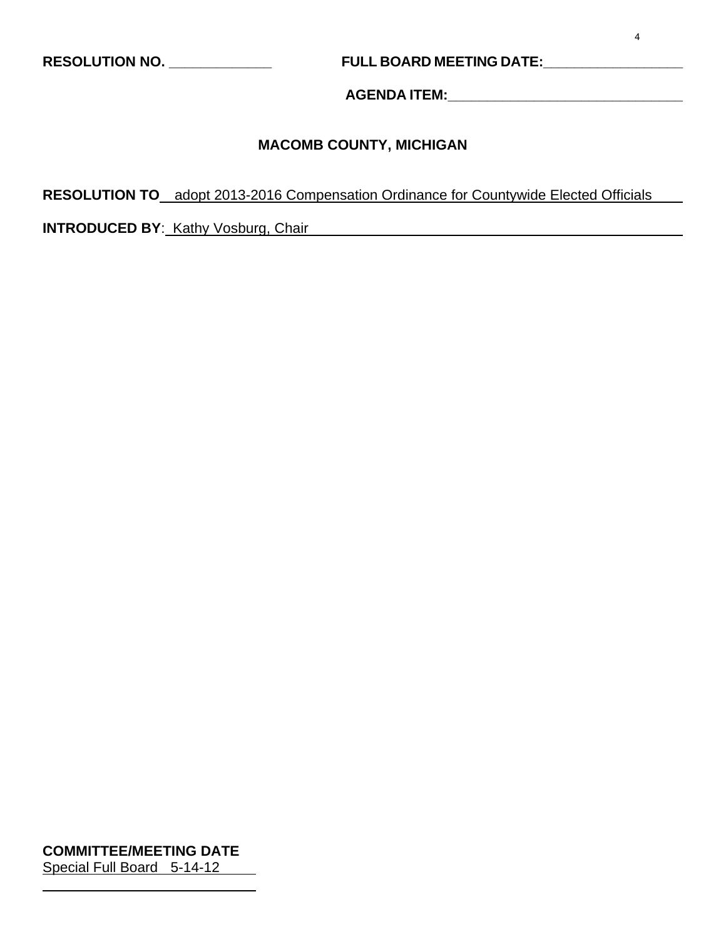# **RESOLUTION NO. \_\_\_\_\_\_\_\_\_\_\_\_\_ FULL BOARD MEETING DATE:\_\_\_\_\_\_\_\_\_\_\_\_\_\_\_\_\_\_**

**AGENDA ITEM:\_\_\_\_\_\_\_\_\_\_\_\_\_\_\_\_\_\_\_\_\_\_\_\_\_\_\_\_\_\_** 

# **MACOMB COUNTY, MICHIGAN**

**RESOLUTION TO** adopt 2013-2016 Compensation Ordinance for Countywide Elected Officials

**INTRODUCED BY:** Kathy Vosburg, Chair

**COMMITTEE/MEETING DATE** Special Full Board 5-14-12

l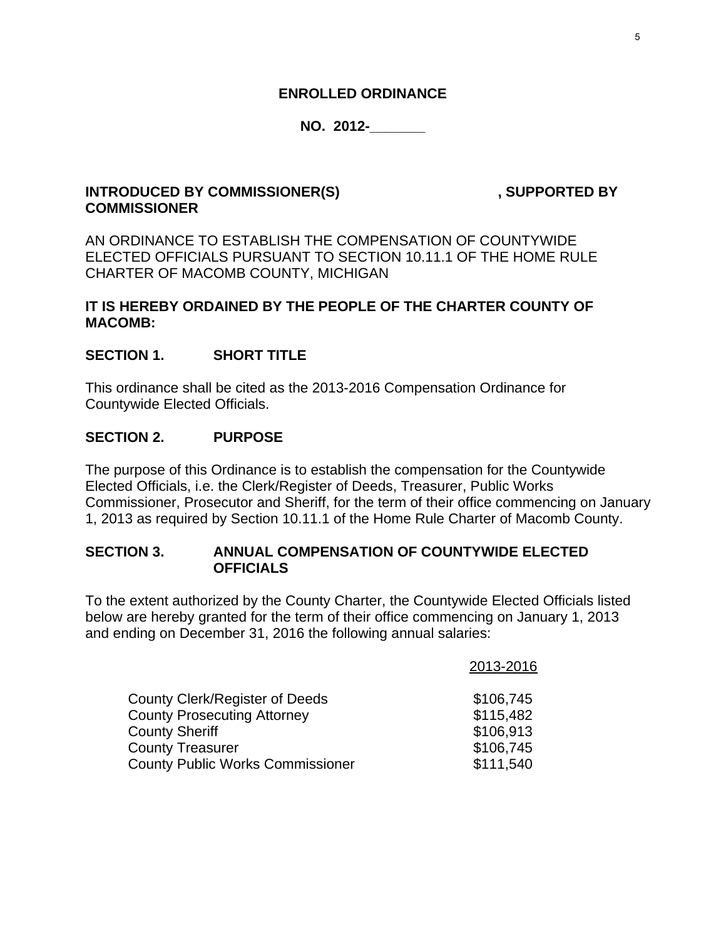#### **ENROLLED ORDINANCE**

#### **NO. 2012-\_\_\_\_\_\_\_**

#### **INTRODUCED BY COMMISSIONER(S)** , SUPPORTED BY **COMMISSIONER**

AN ORDINANCE TO ESTABLISH THE COMPENSATION OF COUNTYWIDE ELECTED OFFICIALS PURSUANT TO SECTION 10.11.1 OF THE HOME RULE CHARTER OF MACOMB COUNTY, MICHIGAN

#### **IT IS HEREBY ORDAINED BY THE PEOPLE OF THE CHARTER COUNTY OF MACOMB:**

#### **SECTION 1. SHORT TITLE**

This ordinance shall be cited as the 2013-2016 Compensation Ordinance for Countywide Elected Officials.

#### **SECTION 2. PURPOSE**

The purpose of this Ordinance is to establish the compensation for the Countywide Elected Officials, i.e. the Clerk/Register of Deeds, Treasurer, Public Works Commissioner, Prosecutor and Sheriff, for the term of their office commencing on January 1, 2013 as required by Section 10.11.1 of the Home Rule Charter of Macomb County.

#### **SECTION 3. ANNUAL COMPENSATION OF COUNTYWIDE ELECTED OFFICIALS**

To the extent authorized by the County Charter, the Countywide Elected Officials listed below are hereby granted for the term of their office commencing on January 1, 2013 and ending on December 31, 2016 the following annual salaries:

|                                         | 2013-2016 |
|-----------------------------------------|-----------|
| <b>County Clerk/Register of Deeds</b>   | \$106,745 |
| <b>County Prosecuting Attorney</b>      | \$115,482 |
| <b>County Sheriff</b>                   | \$106,913 |
| <b>County Treasurer</b>                 | \$106,745 |
| <b>County Public Works Commissioner</b> | \$111,540 |